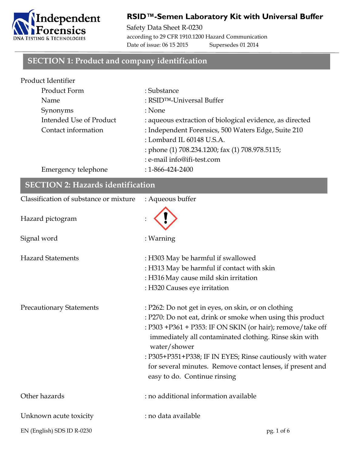

## **RSID™-Semen Laboratory Kit with Universal Buffer**

Safety Data Sheet R-0230 according to 29 CFR 1910.1200 Hazard Communication Date of issue: 06 15 2015 Supersedes 01 2014

#### **SECTION 1: Product and company identification**

| Product Identifier      |                                                          |
|-------------------------|----------------------------------------------------------|
| Product Form            | : Substance                                              |
| Name                    | : RSID <sup>TM</sup> -Universal Buffer                   |
| Synonyms                | : None                                                   |
| Intended Use of Product | : aqueous extraction of biological evidence, as directed |
| Contact information     | : Independent Forensics, 500 Waters Edge, Suite 210      |
|                         | : Lombard IL 60148 U.S.A.                                |
|                         | : phone (1) 708.234.1200; fax (1) 708.978.5115;          |
|                         | : e-mail info@ifi-test.com                               |
| Emergency telephone     | $: 1 - 866 - 424 - 2400$                                 |

| <b>SECTION 2: Hazards identification</b> |                                                                                                                                                                                                                                                                                                                                                                                                                      |  |
|------------------------------------------|----------------------------------------------------------------------------------------------------------------------------------------------------------------------------------------------------------------------------------------------------------------------------------------------------------------------------------------------------------------------------------------------------------------------|--|
| Classification of substance or mixture   | : Aqueous buffer                                                                                                                                                                                                                                                                                                                                                                                                     |  |
| Hazard pictogram                         |                                                                                                                                                                                                                                                                                                                                                                                                                      |  |
| Signal word                              | : Warning                                                                                                                                                                                                                                                                                                                                                                                                            |  |
| <b>Hazard Statements</b>                 | : H303 May be harmful if swallowed<br>: H313 May be harmful if contact with skin<br>: H316 May cause mild skin irritation<br>: H320 Causes eye irritation                                                                                                                                                                                                                                                            |  |
| <b>Precautionary Statements</b>          | : P262: Do not get in eyes, on skin, or on clothing<br>: P270: Do not eat, drink or smoke when using this product<br>: P303 +P361 + P353: IF ON SKIN (or hair); remove/take off<br>immediately all contaminated clothing. Rinse skin with<br>water/shower<br>: P305+P351+P338; IF IN EYES; Rinse cautiously with water<br>for several minutes. Remove contact lenses, if present and<br>easy to do. Continue rinsing |  |
| Other hazards                            | : no additional information available                                                                                                                                                                                                                                                                                                                                                                                |  |
| Unknown acute toxicity                   | : no data available                                                                                                                                                                                                                                                                                                                                                                                                  |  |
| EN (English) SDS ID R-0230               | pg. 1 of 6                                                                                                                                                                                                                                                                                                                                                                                                           |  |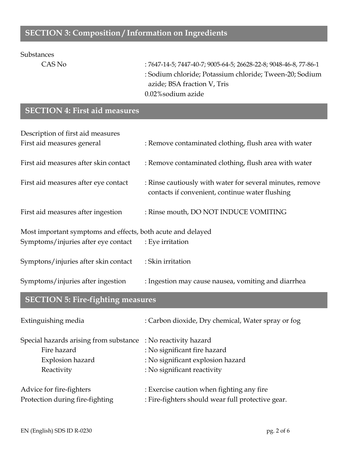## **SECTION 3: Composition / Information on Ingredients**

#### Substances

CAS No : 7647-14-5; 7447-40-7; 9005-64-5; 26628-22-8; 9048-46-8, 77-86-1 : Sodium chloride; Potassium chloride; Tween-20; Sodium azide; BSA fraction V, Tris 0.02%sodium azide

## **SECTION 4: First aid measures**

| Description of first aid measures                           |                                                                                                              |  |
|-------------------------------------------------------------|--------------------------------------------------------------------------------------------------------------|--|
| First aid measures general                                  | : Remove contaminated clothing, flush area with water                                                        |  |
| First aid measures after skin contact                       | : Remove contaminated clothing, flush area with water                                                        |  |
| First aid measures after eye contact                        | : Rinse cautiously with water for several minutes, remove<br>contacts if convenient, continue water flushing |  |
| First aid measures after ingestion                          | : Rinse mouth, DO NOT INDUCE VOMITING                                                                        |  |
| Most important symptoms and effects, both acute and delayed |                                                                                                              |  |
| Symptoms/injuries after eye contact                         | : Eye irritation                                                                                             |  |
| Symptons/injuries after skin contact                        | : Skin irritation                                                                                            |  |
| Symptoms/injuries after ingestion                           | : Ingestion may cause nausea, vomiting and diarrhea                                                          |  |

# **SECTION 5: Fire-fighting measures**

| Extinguishing media                                           | : Carbon dioxide, Dry chemical, Water spray or fog |
|---------------------------------------------------------------|----------------------------------------------------|
| Special hazards arising from substance : No reactivity hazard |                                                    |
| Fire hazard                                                   | : No significant fire hazard                       |
| Explosion hazard                                              | : No significant explosion hazard                  |
| Reactivity                                                    | : No significant reactivity                        |
| Advice for fire-fighters                                      | : Exercise caution when fighting any fire          |
| Protection during fire-fighting                               | : Fire-fighters should wear full protective gear.  |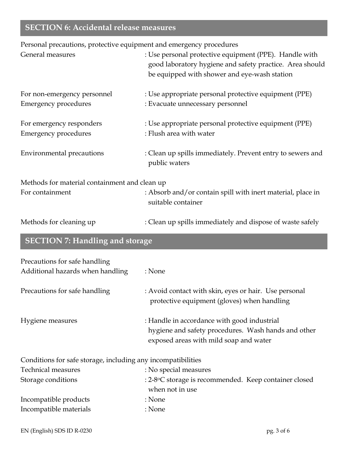# **SECTION 6: Accidental release measures**

Personal precautions, protective equipment and emergency procedures

| General measures                                                  | : Use personal protective equipment (PPE). Handle with<br>good laboratory hygiene and safety practice. Area should<br>be equipped with shower and eye-wash station |
|-------------------------------------------------------------------|--------------------------------------------------------------------------------------------------------------------------------------------------------------------|
| For non-emergency personnel<br><b>Emergency procedures</b>        | : Use appropriate personal protective equipment (PPE)<br>: Evacuate unnecessary personnel                                                                          |
| For emergency responders<br><b>Emergency procedures</b>           | : Use appropriate personal protective equipment (PPE)<br>: Flush area with water                                                                                   |
| <b>Environmental precautions</b>                                  | : Clean up spills immediately. Prevent entry to sewers and<br>public waters                                                                                        |
| Methods for material containment and clean up<br>For containment  | : Absorb and/or contain spill with inert material, place in<br>suitable container                                                                                  |
| Methods for cleaning up                                           | : Clean up spills immediately and dispose of waste safely                                                                                                          |
| <b>SECTION 7: Handling and storage</b>                            |                                                                                                                                                                    |
| Precautions for safe handling<br>Additional hazards when handling | : None                                                                                                                                                             |
| Precautions for safe handling                                     | : Avoid contact with skin, eyes or hair. Use personal<br>protective equipment (gloves) when handling                                                               |
| Hygiene measures                                                  | : Handle in accordance with good industrial<br>hygiene and safety procedures. Wash hands and other<br>exposed areas with mild soap and water                       |
| Conditions for safe storage, including any incompatibilities      |                                                                                                                                                                    |
| <b>Technical measures</b>                                         | : No special measures                                                                                                                                              |
| Storage conditions                                                | : 2-8°C storage is recommended. Keep container closed<br>when not in use                                                                                           |
| Incompatible products                                             | : None                                                                                                                                                             |
| Incompatible materials                                            | : None                                                                                                                                                             |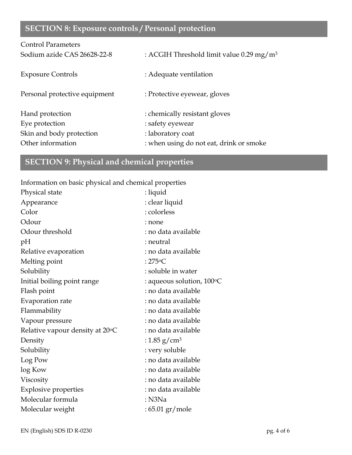# **SECTION 8: Exposure controls / Personal protection**

| <b>Control Parameters</b>     |                                                      |
|-------------------------------|------------------------------------------------------|
| Sodium azide CAS 26628-22-8   | : ACGIH Threshold limit value 0.29 mg/m <sup>3</sup> |
| <b>Exposure Controls</b>      | : Adequate ventilation                               |
| Personal protective equipment | : Protective eyewear, gloves                         |
| Hand protection               | : chemically resistant gloves                        |
| Eye protection                | : safety eyewear                                     |
| Skin and body protection      | : laboratory coat                                    |
| Other information             | : when using do not eat, drink or smoke              |

# **SECTION 9: Physical and chemical properties**

Information on basic physical and chemical properties

| Physical state                  | : liquid                           |
|---------------------------------|------------------------------------|
| Appearance                      | : clear liquid                     |
| Color                           | : colorless                        |
| Odour                           | : none                             |
| Odour threshold                 | : no data available                |
| pH                              | : neutral                          |
| Relative evaporation            | : no data available                |
| Melting point                   | : $275^{\circ}$ C                  |
| Solubility                      | : soluble in water                 |
| Initial boiling point range     | : aqueous solution, $100\degree$ C |
| Flash point                     | : no data available                |
| Evaporation rate                | : no data available                |
| Flammability                    | : no data available                |
| Vapour pressure                 | : no data available                |
| Relative vapour density at 20°C | : no data available                |
| Density                         | : 1.85 g/cm <sup>3</sup>           |
| Solubility                      | : very soluble                     |
| Log Pow                         | : no data available                |
| log Kow                         | : no data available                |
| Viscosity                       | : no data available                |
| <b>Explosive properties</b>     | : no data available                |
| Molecular formula               | $:$ N3Na                           |
| Molecular weight                | : 65.01 gr/mole                    |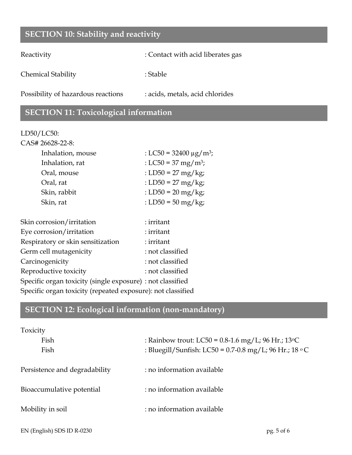## **SECTION 10: Stability and reactivity**

Reactivity : Contact with acid liberates gas

Chemical Stability : Stable : Stable

Possibility of hazardous reactions : acids, metals, acid chlorides

## **SECTION 11: Toxicological information**

#### LD50/LC50:

| CAS# 26628-22-8:  |                                         |
|-------------------|-----------------------------------------|
| Inhalation, mouse | : LC50 = 32400 $\mu$ g/m <sup>3</sup> ; |
| Inhalation, rat   | : LC50 = 37 mg/m <sup>3</sup> ;         |
| Oral, mouse       | : LD50 = 27 mg/kg;                      |
| Oral, rat         | : LD50 = 27 mg/kg;                      |
| Skin, rabbit      | : LD50 = $20 \text{ mg/kg}$ ;           |
| Skin, rat         | : LD50 = 50 mg/kg;                      |
|                   |                                         |

| Skin corrosion/irritation                                   | : irritant       |
|-------------------------------------------------------------|------------------|
| Eye corrosion/irritation                                    | : irritant       |
| Respiratory or skin sensitization                           | : irritant       |
| Germ cell mutagenicity                                      | : not classified |
| Carcinogenicity                                             | : not classified |
| Reproductive toxicity                                       | : not classified |
| Specific organ toxicity (single exposure) : not classified  |                  |
| Specific organ toxicity (repeated exposure): not classified |                  |
|                                                             |                  |

# **SECTION 12: Ecological information (non-mandatory)**

| Toxicity                      |                                                        |
|-------------------------------|--------------------------------------------------------|
| Fish                          | : Rainbow trout: LC50 = $0.8$ -1.6 mg/L; 96 Hr.; 13 °C |
| Fish                          | : Bluegill/Sunfish: LC50 = 0.7-0.8 mg/L; 96 Hr.; 18 °C |
| Persistence and degradability | : no information available                             |
| Bioaccumulative potential     | : no information available                             |
| Mobility in soil              | : no information available                             |
|                               |                                                        |